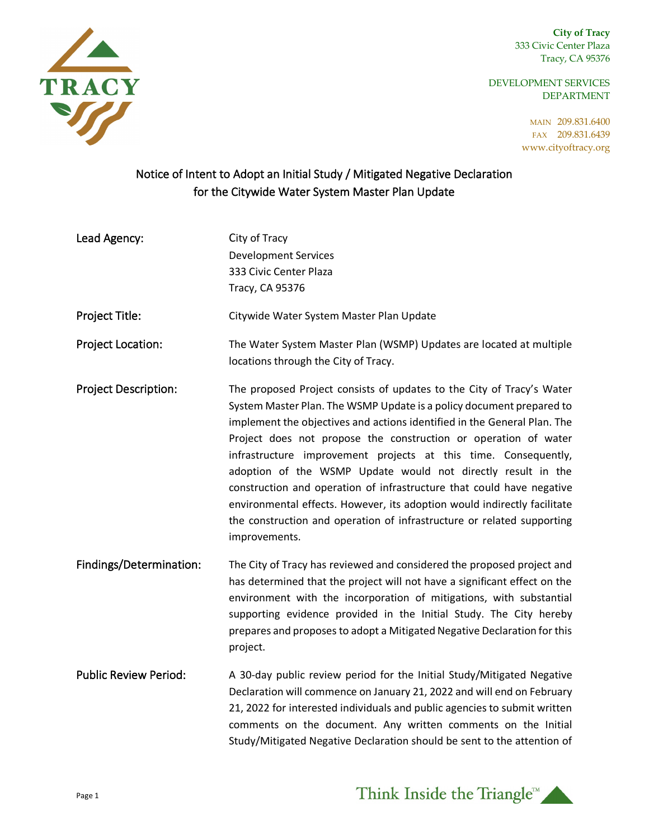**City of Tracy** 333 Civic Center Plaza Tracy, CA 95376

DEVELOPMENT SERVICES DEPARTMENT

> MAIN 209.831.6400 FAX 209.831.6439 www.cityoftracy.org



## Notice of Intent to Adopt an Initial Study / Mitigated Negative Declaration for the Citywide Water System Master Plan Update

| Lead Agency: | City of Tracy               |
|--------------|-----------------------------|
|              | <b>Development Services</b> |
|              | 333 Civic Center Plaza      |
|              | Tracy, CA 95376             |

Project Title: Citywide Water System Master Plan Update

Project Location: The Water System Master Plan (WSMP) Updates are located at multiple locations through the City of Tracy.

- Project Description: The proposed Project consists of updates to the City of Tracy's Water System Master Plan. The WSMP Update is a policy document prepared to implement the objectives and actions identified in the General Plan. The Project does not propose the construction or operation of water infrastructure improvement projects at this time. Consequently, adoption of the WSMP Update would not directly result in the construction and operation of infrastructure that could have negative environmental effects. However, its adoption would indirectly facilitate the construction and operation of infrastructure or related supporting improvements.
- Findings/Determination: The City of Tracy has reviewed and considered the proposed project and has determined that the project will not have a significant effect on the environment with the incorporation of mitigations, with substantial supporting evidence provided in the Initial Study. The City hereby prepares and proposes to adopt a Mitigated Negative Declaration for this project.
- Public Review Period: A 30-day public review period for the Initial Study/Mitigated Negative Declaration will commence on January 21, 2022 and will end on February 21, 2022 for interested individuals and public agencies to submit written comments on the document. Any written comments on the Initial Study/Mitigated Negative Declaration should be sent to the attention of